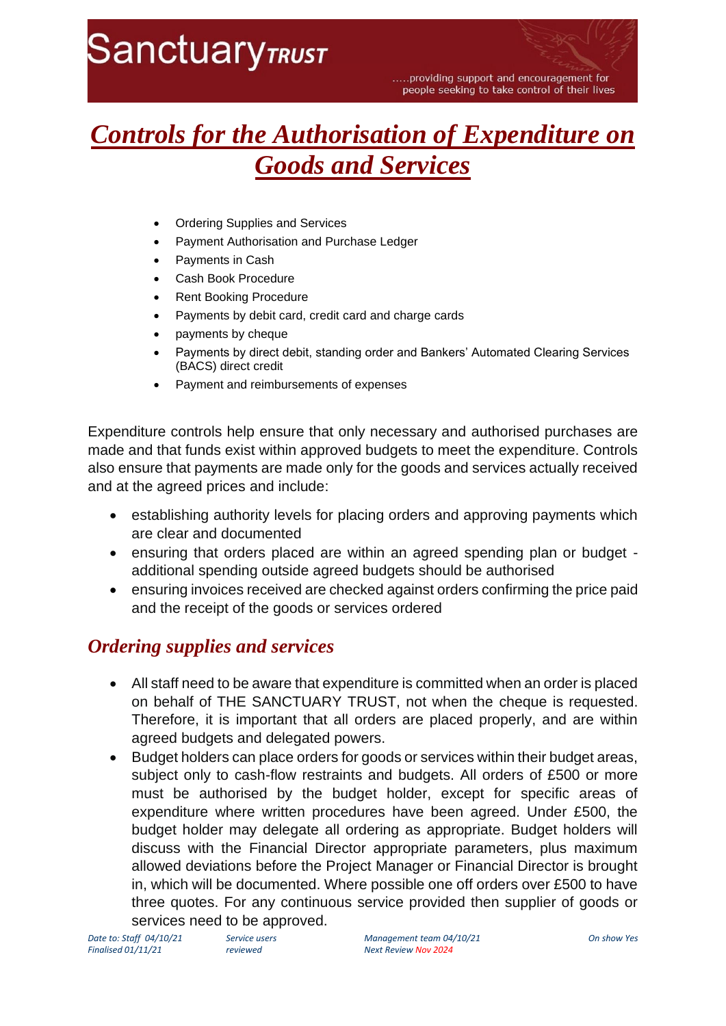# **SanctuaryTRUST**

.....providing support and encouragement for people seeking to take control of their lives

# *Controls for the Authorisation of Expenditure on Goods and Services*

- Ordering Supplies and Services
- Payment Authorisation and Purchase Ledger
- Payments in Cash
- Cash Book Procedure
- Rent Booking Procedure
- Payments by debit card, credit card and charge cards
- payments by cheque
- Payments by direct debit, standing order and Bankers' Automated Clearing Services (BACS) direct credit
- Payment and reimbursements of expenses

Expenditure controls help ensure that only necessary and authorised purchases are made and that funds exist within approved budgets to meet the expenditure. Controls also ensure that payments are made only for the goods and services actually received and at the agreed prices and include:

- establishing authority levels for placing orders and approving payments which are clear and documented
- ensuring that orders placed are within an agreed spending plan or budget additional spending outside agreed budgets should be authorised
- ensuring invoices received are checked against orders confirming the price paid and the receipt of the goods or services ordered

### *Ordering supplies and services*

- All staff need to be aware that expenditure is committed when an order is placed on behalf of THE SANCTUARY TRUST, not when the cheque is requested. Therefore, it is important that all orders are placed properly, and are within agreed budgets and delegated powers.
- Budget holders can place orders for goods or services within their budget areas, subject only to cash-flow restraints and budgets. All orders of £500 or more must be authorised by the budget holder, except for specific areas of expenditure where written procedures have been agreed. Under £500, the budget holder may delegate all ordering as appropriate. Budget holders will discuss with the Financial Director appropriate parameters, plus maximum allowed deviations before the Project Manager or Financial Director is brought in, which will be documented. Where possible one off orders over £500 to have three quotes. For any continuous service provided then supplier of goods or services need to be approved.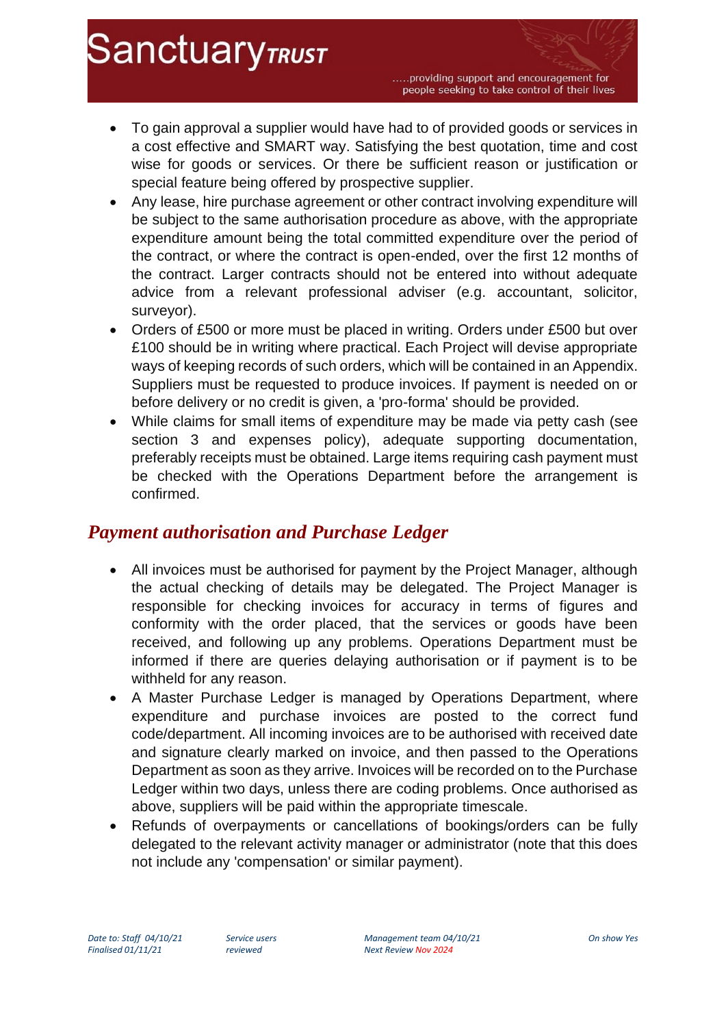.....providing support and encouragement for people seeking to take control of their lives

- To gain approval a supplier would have had to of provided goods or services in a cost effective and SMART way. Satisfying the best quotation, time and cost wise for goods or services. Or there be sufficient reason or justification or special feature being offered by prospective supplier.
- Any lease, hire purchase agreement or other contract involving expenditure will be subject to the same authorisation procedure as above, with the appropriate expenditure amount being the total committed expenditure over the period of the contract, or where the contract is open-ended, over the first 12 months of the contract. Larger contracts should not be entered into without adequate advice from a relevant professional adviser (e.g. accountant, solicitor, surveyor).
- Orders of £500 or more must be placed in writing. Orders under £500 but over £100 should be in writing where practical. Each Project will devise appropriate ways of keeping records of such orders, which will be contained in an Appendix. Suppliers must be requested to produce invoices. If payment is needed on or before delivery or no credit is given, a 'pro-forma' should be provided.
- While claims for small items of expenditure may be made via petty cash (see section 3 and expenses policy), adequate supporting documentation, preferably receipts must be obtained. Large items requiring cash payment must be checked with the Operations Department before the arrangement is confirmed.

### *Payment authorisation and Purchase Ledger*

- All invoices must be authorised for payment by the Project Manager, although the actual checking of details may be delegated. The Project Manager is responsible for checking invoices for accuracy in terms of figures and conformity with the order placed, that the services or goods have been received, and following up any problems. Operations Department must be informed if there are queries delaying authorisation or if payment is to be withheld for any reason.
- A Master Purchase Ledger is managed by Operations Department, where expenditure and purchase invoices are posted to the correct fund code/department. All incoming invoices are to be authorised with received date and signature clearly marked on invoice, and then passed to the Operations Department as soon as they arrive. Invoices will be recorded on to the Purchase Ledger within two days, unless there are coding problems. Once authorised as above, suppliers will be paid within the appropriate timescale.
- Refunds of overpayments or cancellations of bookings/orders can be fully delegated to the relevant activity manager or administrator (note that this does not include any 'compensation' or similar payment).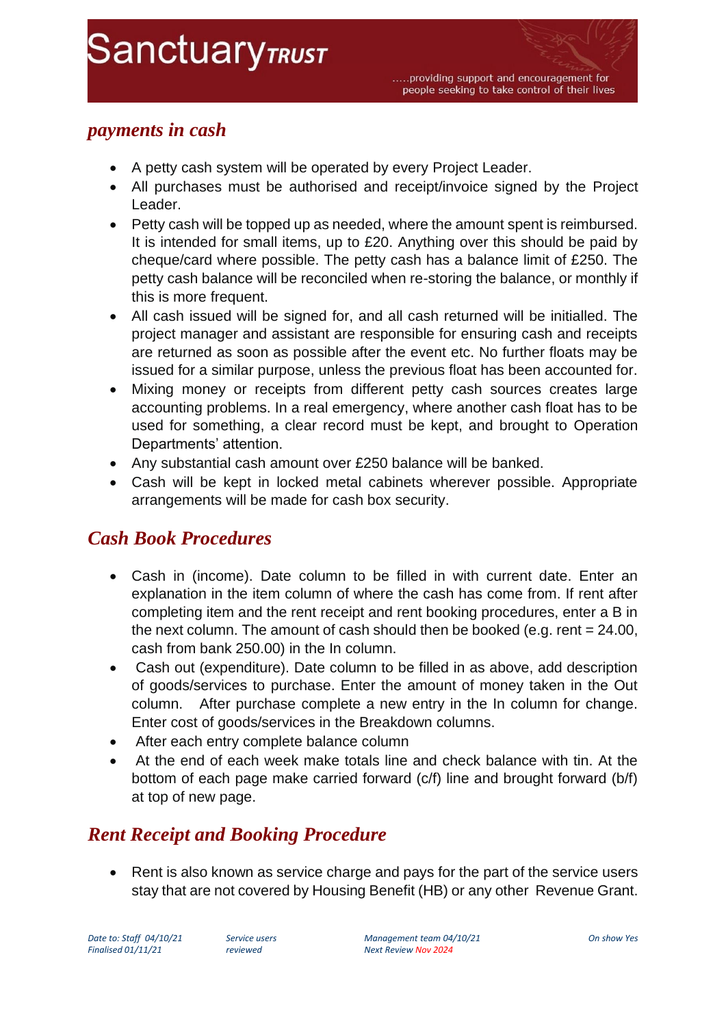### *payments in cash*

- A petty cash system will be operated by every Project Leader.
- All purchases must be authorised and receipt/invoice signed by the Project Leader.
- Petty cash will be topped up as needed, where the amount spent is reimbursed. It is intended for small items, up to £20. Anything over this should be paid by cheque/card where possible. The petty cash has a balance limit of £250. The petty cash balance will be reconciled when re-storing the balance, or monthly if this is more frequent.
- All cash issued will be signed for, and all cash returned will be initialled. The project manager and assistant are responsible for ensuring cash and receipts are returned as soon as possible after the event etc. No further floats may be issued for a similar purpose, unless the previous float has been accounted for.
- Mixing money or receipts from different petty cash sources creates large accounting problems. In a real emergency, where another cash float has to be used for something, a clear record must be kept, and brought to Operation Departments' attention.
- Any substantial cash amount over £250 balance will be banked.
- Cash will be kept in locked metal cabinets wherever possible. Appropriate arrangements will be made for cash box security.

# *Cash Book Procedures*

- Cash in (income). Date column to be filled in with current date. Enter an explanation in the item column of where the cash has come from. If rent after completing item and the rent receipt and rent booking procedures, enter a B in the next column. The amount of cash should then be booked (e.g. rent = 24.00, cash from bank 250.00) in the In column.
- Cash out (expenditure). Date column to be filled in as above, add description of goods/services to purchase. Enter the amount of money taken in the Out column. After purchase complete a new entry in the In column for change. Enter cost of goods/services in the Breakdown columns.
- After each entry complete balance column
- At the end of each week make totals line and check balance with tin. At the bottom of each page make carried forward (c/f) line and brought forward (b/f) at top of new page.

# *Rent Receipt and Booking Procedure*

• Rent is also known as service charge and pays for the part of the service users stay that are not covered by Housing Benefit (HB) or any other Revenue Grant.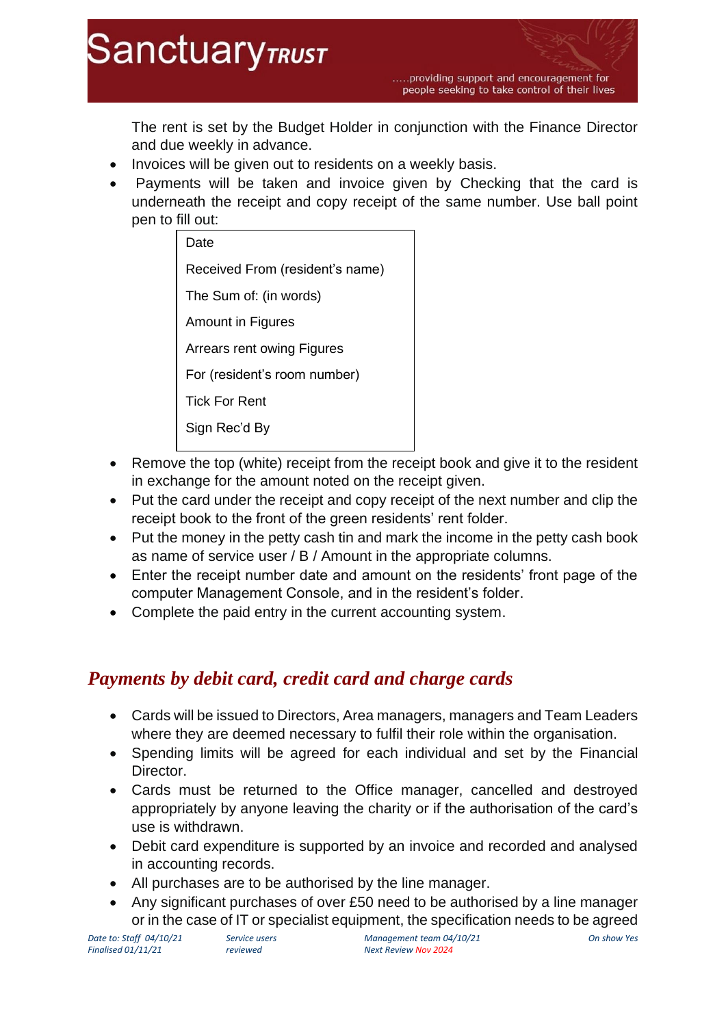

.....providing support and encouragement for people seeking to take control of their lives

The rent is set by the Budget Holder in conjunction with the Finance Director and due weekly in advance.

- Invoices will be given out to residents on a weekly basis.
- Payments will be taken and invoice given by Checking that the card is underneath the receipt and copy receipt of the same number. Use ball point pen to fill out:

| Date                            |
|---------------------------------|
| Received From (resident's name) |
| The Sum of: (in words)          |
| Amount in Figures               |
| Arrears rent owing Figures      |
| For (resident's room number)    |
| <b>Tick For Rent</b>            |
| Sign Rec'd By                   |
|                                 |

- Remove the top (white) receipt from the receipt book and give it to the resident in exchange for the amount noted on the receipt given.
- Put the card under the receipt and copy receipt of the next number and clip the receipt book to the front of the green residents' rent folder.
- Put the money in the petty cash tin and mark the income in the petty cash book as name of service user / B / Amount in the appropriate columns.
- Enter the receipt number date and amount on the residents' front page of the computer Management Console, and in the resident's folder.
- Complete the paid entry in the current accounting system.

# *Payments by debit card, credit card and charge cards*

- Cards will be issued to Directors, Area managers, managers and Team Leaders where they are deemed necessary to fulfil their role within the organisation.
- Spending limits will be agreed for each individual and set by the Financial Director.
- Cards must be returned to the Office manager, cancelled and destroyed appropriately by anyone leaving the charity or if the authorisation of the card's use is withdrawn.
- Debit card expenditure is supported by an invoice and recorded and analysed in accounting records.
- All purchases are to be authorised by the line manager.
- Any significant purchases of over £50 need to be authorised by a line manager or in the case of IT or specialist equipment, the specification needs to be agreed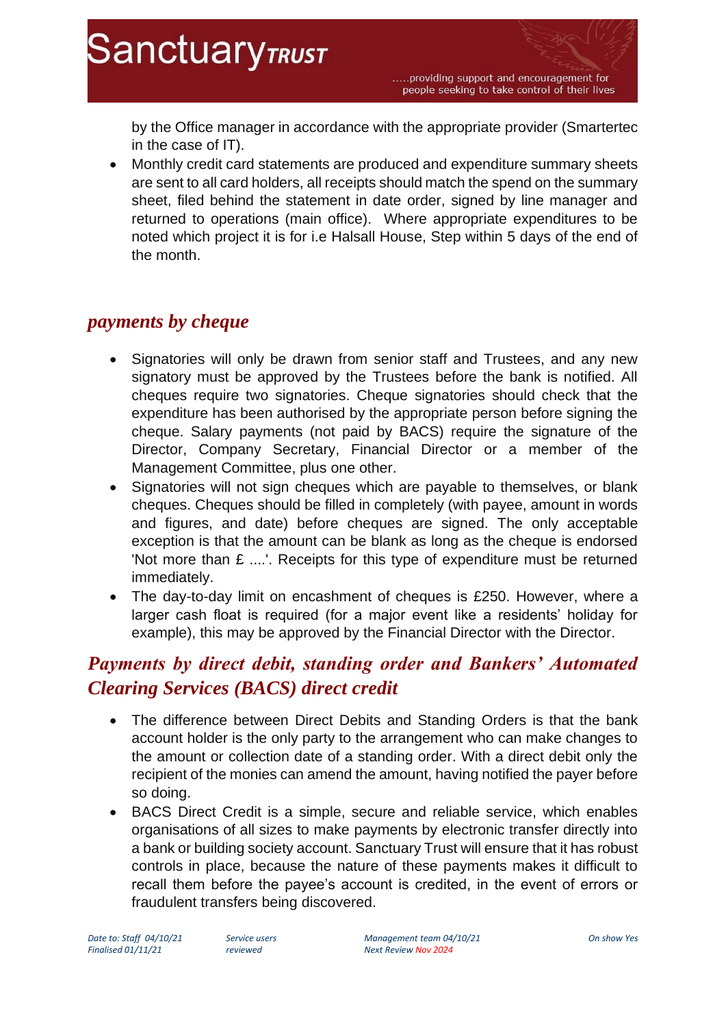by the Office manager in accordance with the appropriate provider (Smartertec in the case of IT).

• Monthly credit card statements are produced and expenditure summary sheets are sent to all card holders, all receipts should match the spend on the summary sheet, filed behind the statement in date order, signed by line manager and returned to operations (main office). Where appropriate expenditures to be noted which project it is for i.e Halsall House, Step within 5 days of the end of the month.

#### *payments by cheque*

- Signatories will only be drawn from senior staff and Trustees, and any new signatory must be approved by the Trustees before the bank is notified. All cheques require two signatories. Cheque signatories should check that the expenditure has been authorised by the appropriate person before signing the cheque. Salary payments (not paid by BACS) require the signature of the Director, Company Secretary, Financial Director or a member of the Management Committee, plus one other.
- Signatories will not sign cheques which are payable to themselves, or blank cheques. Cheques should be filled in completely (with payee, amount in words and figures, and date) before cheques are signed. The only acceptable exception is that the amount can be blank as long as the cheque is endorsed 'Not more than £ ....'. Receipts for this type of expenditure must be returned immediately.
- The day-to-day limit on encashment of cheques is £250. However, where a larger cash float is required (for a major event like a residents' holiday for example), this may be approved by the Financial Director with the Director.

# *Payments by direct debit, standing order and Bankers' Automated Clearing Services (BACS) direct credit*

- The difference between Direct Debits and Standing Orders is that the bank account holder is the only party to the arrangement who can make changes to the amount or collection date of a standing order. With a direct debit only the recipient of the monies can amend the amount, having notified the payer before so doing.
- BACS Direct Credit is a simple, secure and reliable service, which enables organisations of all sizes to make payments by electronic transfer directly into a bank or building society account. Sanctuary Trust will ensure that it has robust controls in place, because the nature of these payments makes it difficult to recall them before the payee's account is credited, in the event of errors or fraudulent transfers being discovered.

*Date to: Staff 04/10/21 Service users Management team 04/10/21 On show Yes*